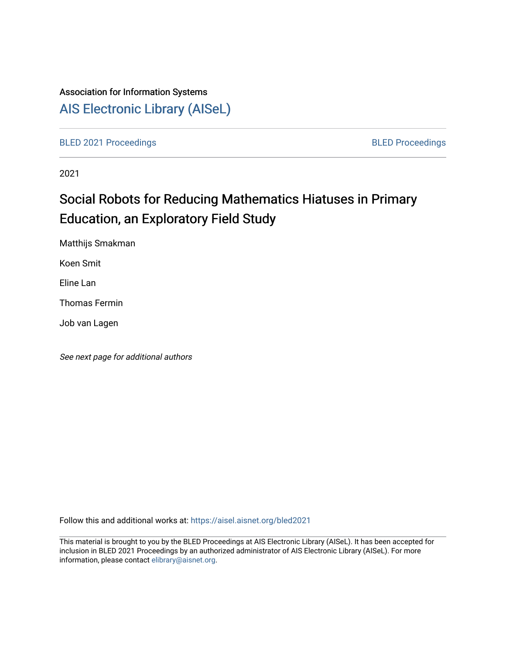# Association for Information Systems

# [AIS Electronic Library \(AISeL\)](https://aisel.aisnet.org/)

[BLED 2021 Proceedings](https://aisel.aisnet.org/bled2021) **BLED Proceedings** 

2021

# Social Robots for Reducing Mathematics Hiatuses in Primary Education, an Exploratory Field Study

Matthijs Smakman

Koen Smit

Eline Lan

Thomas Fermin

Job van Lagen

See next page for additional authors

Follow this and additional works at: [https://aisel.aisnet.org/bled2021](https://aisel.aisnet.org/bled2021?utm_source=aisel.aisnet.org%2Fbled2021%2F19&utm_medium=PDF&utm_campaign=PDFCoverPages) 

This material is brought to you by the BLED Proceedings at AIS Electronic Library (AISeL). It has been accepted for inclusion in BLED 2021 Proceedings by an authorized administrator of AIS Electronic Library (AISeL). For more information, please contact [elibrary@aisnet.org.](mailto:elibrary@aisnet.org%3E)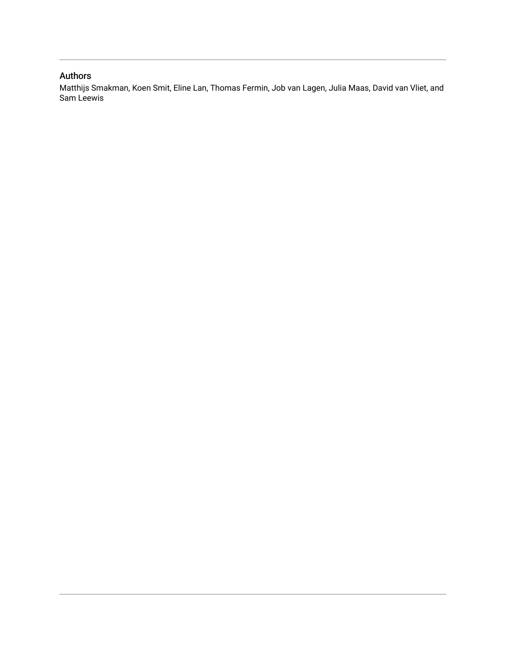# Authors

Matthijs Smakman, Koen Smit, Eline Lan, Thomas Fermin, Job van Lagen, Julia Maas, David van Vliet, and Sam Leewis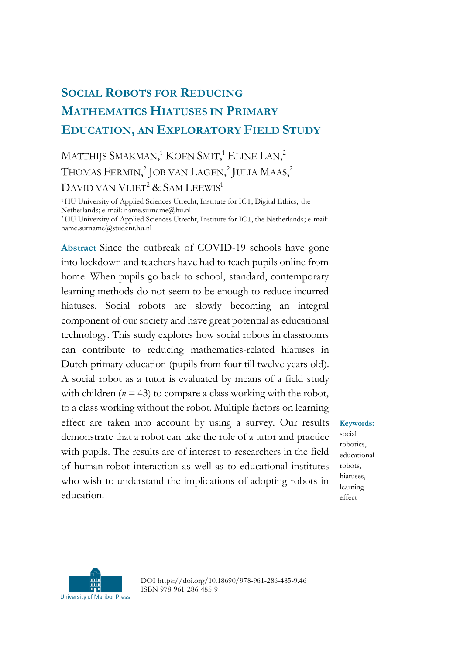# **SOCIAL ROBOTS FOR REDUCING MATHEMATICS HIATUSES IN PRIMARY EDUCATION, AN EXPLORATORY FIELD STUDY**

# MATTHIJS SMAKMAN,<sup>1</sup> KOEN SMIT,<sup>1</sup> ELINE LAN,<sup>2</sup> THOMAS FERMIN,<sup>2</sup> JOB VAN LAGEN,<sup>2</sup> JULIA MAAS,<sup>2</sup> DAVID VAN VLIET<sup>2</sup> & SAM LEEWIS<sup>1</sup>

<sup>1</sup>HU University of Applied Sciences Utrecht, Institute for ICT, Digital Ethics, the Netherlands; e-mail: name.surname@hu.nl <sup>2</sup>HU University of Applied Sciences Utrecht, Institute for ICT, the Netherlands; e-mail: name.surname@student.hu.nl

**Abstract** Since the outbreak of COVID-19 schools have gone into lockdown and teachers have had to teach pupils online from home. When pupils go back to school, standard, contemporary learning methods do not seem to be enough to reduce incurred hiatuses. Social robots are slowly becoming an integral component of our society and have great potential as educational technology. This study explores how social robots in classrooms can contribute to reducing mathematics-related hiatuses in Dutch primary education (pupils from four till twelve years old). A social robot as a tutor is evaluated by means of a field study with children ( $n = 43$ ) to compare a class working with the robot, to a class working without the robot. Multiple factors on learning effect are taken into account by using a survey. Our results demonstrate that a robot can take the role of a tutor and practice with pupils. The results are of interest to researchers in the field of human-robot interaction as well as to educational institutes who wish to understand the implications of adopting robots in education.

**Keywords:** social robotics, educational robots, hiatuses, learning effect



DOI https://doi.org/10.18690/978-961-286-485-9.46 ISBN 978-961-286-485-9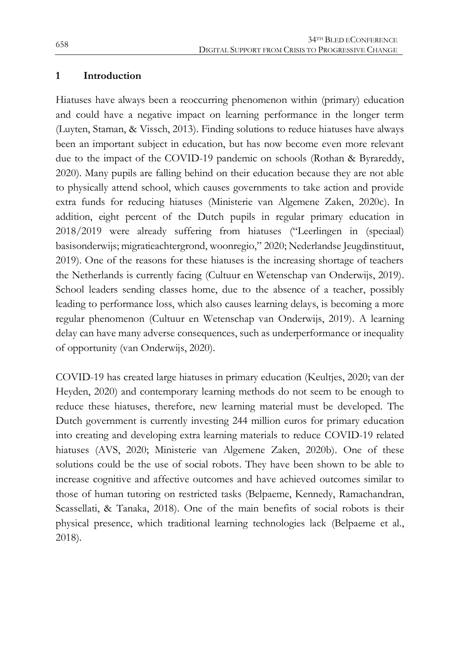#### **1 Introduction**

Hiatuses have always been a reoccurring phenomenon within (primary) education and could have a negative impact on learning performance in the longer term (Luyten, Staman, & Vissch, 2013). Finding solutions to reduce hiatuses have always been an important subject in education, but has now become even more relevant due to the impact of the COVID-19 pandemic on schools (Rothan & Byrareddy, 2020). Many pupils are falling behind on their education because they are not able to physically attend school, which causes governments to take action and provide extra funds for reducing hiatuses (Ministerie van Algemene Zaken, 2020c). In addition, eight percent of the Dutch pupils in regular primary education in 2018/2019 were already suffering from hiatuses ("Leerlingen in (speciaal) basisonderwijs; migratieachtergrond, woonregio," 2020; Nederlandse Jeugdinstituut, 2019). One of the reasons for these hiatuses is the increasing shortage of teachers the Netherlands is currently facing (Cultuur en Wetenschap van Onderwijs, 2019). School leaders sending classes home, due to the absence of a teacher, possibly leading to performance loss, which also causes learning delays, is becoming a more regular phenomenon (Cultuur en Wetenschap van Onderwijs, 2019). A learning delay can have many adverse consequences, such as underperformance or inequality of opportunity (van Onderwijs, 2020).

COVID-19 has created large hiatuses in primary education (Keultjes, 2020; van der Heyden, 2020) and contemporary learning methods do not seem to be enough to reduce these hiatuses, therefore, new learning material must be developed. The Dutch government is currently investing 244 million euros for primary education into creating and developing extra learning materials to reduce COVID-19 related hiatuses (AVS, 2020; Ministerie van Algemene Zaken, 2020b). One of these solutions could be the use of social robots. They have been shown to be able to increase cognitive and affective outcomes and have achieved outcomes similar to those of human tutoring on restricted tasks (Belpaeme, Kennedy, Ramachandran, Scassellati, & Tanaka, 2018). One of the main benefits of social robots is their physical presence, which traditional learning technologies lack (Belpaeme et al., 2018).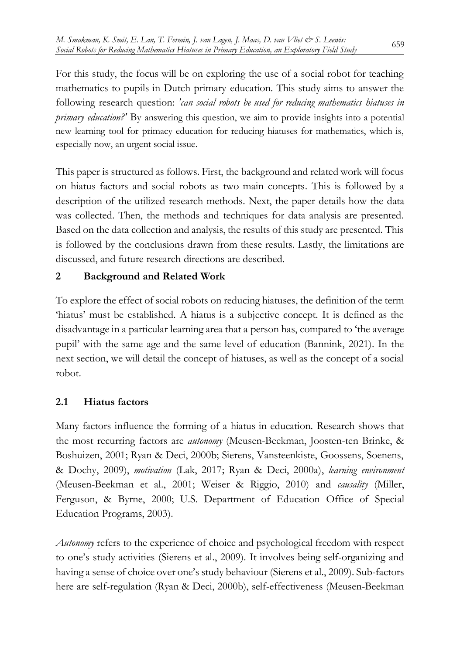For this study, the focus will be on exploring the use of a social robot for teaching mathematics to pupils in Dutch primary education. This study aims to answer the following research question: *'can social robots be used for reducing mathematics hiatuses in primary education?'* By answering this question, we aim to provide insights into a potential new learning tool for primacy education for reducing hiatuses for mathematics, which is, especially now, an urgent social issue.

This paper is structured as follows. First, the background and related work will focus on hiatus factors and social robots as two main concepts. This is followed by a description of the utilized research methods. Next, the paper details how the data was collected. Then, the methods and techniques for data analysis are presented. Based on the data collection and analysis, the results of this study are presented. This is followed by the conclusions drawn from these results. Lastly, the limitations are discussed, and future research directions are described.

## **2 Background and Related Work**

To explore the effect of social robots on reducing hiatuses, the definition of the term 'hiatus' must be established. A hiatus is a subjective concept. It is defined as the disadvantage in a particular learning area that a person has, compared to 'the average pupil' with the same age and the same level of education (Bannink, 2021). In the next section, we will detail the concept of hiatuses, as well as the concept of a social robot.

## **2.1 Hiatus factors**

Many factors influence the forming of a hiatus in education. Research shows that the most recurring factors are *autonomy* (Meusen-Beekman, Joosten-ten Brinke, & Boshuizen, 2001; Ryan & Deci, 2000b; Sierens, Vansteenkiste, Goossens, Soenens, & Dochy, 2009), *motivation* (Lak, 2017; Ryan & Deci, 2000a), *learning environment* (Meusen-Beekman et al., 2001; Weiser & Riggio, 2010) and *causality* (Miller, Ferguson, & Byrne, 2000; U.S. Department of Education Office of Special Education Programs, 2003).

*Autonomy* refers to the experience of choice and psychological freedom with respect to one's study activities (Sierens et al., 2009). It involves being self-organizing and having a sense of choice over one's study behaviour (Sierens et al., 2009). Sub-factors here are self-regulation (Ryan & Deci, 2000b), self-effectiveness (Meusen-Beekman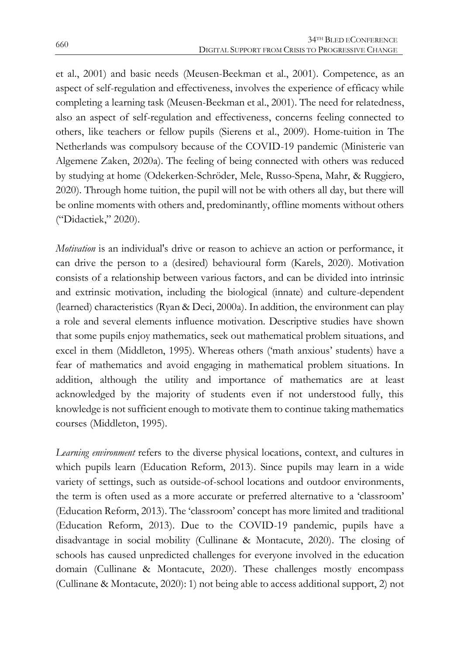et al., 2001) and basic needs (Meusen-Beekman et al., 2001). Competence, as an aspect of self-regulation and effectiveness, involves the experience of efficacy while completing a learning task (Meusen-Beekman et al., 2001). The need for relatedness, also an aspect of self-regulation and effectiveness, concerns feeling connected to others, like teachers or fellow pupils (Sierens et al., 2009). Home-tuition in The Netherlands was compulsory because of the COVID-19 pandemic (Ministerie van Algemene Zaken, 2020a). The feeling of being connected with others was reduced by studying at home (Odekerken-Schröder, Mele, Russo-Spena, Mahr, & Ruggiero, 2020). Through home tuition, the pupil will not be with others all day, but there will be online moments with others and, predominantly, offline moments without others ("Didactiek," 2020).

*Motivation* is an individual's drive or reason to achieve an action or performance, it can drive the person to a (desired) behavioural form (Karels, 2020). Motivation consists of a relationship between various factors, and can be divided into intrinsic and extrinsic motivation, including the biological (innate) and culture-dependent (learned) characteristics (Ryan & Deci, 2000a). In addition, the environment can play a role and several elements influence motivation. Descriptive studies have shown that some pupils enjoy mathematics, seek out mathematical problem situations, and excel in them (Middleton, 1995). Whereas others ('math anxious' students) have a fear of mathematics and avoid engaging in mathematical problem situations. In addition, although the utility and importance of mathematics are at least acknowledged by the majority of students even if not understood fully, this knowledge is not sufficient enough to motivate them to continue taking mathematics courses (Middleton, 1995).

*Learning environment* refers to the diverse physical locations, context, and cultures in which pupils learn (Education Reform, 2013). Since pupils may learn in a wide variety of settings, such as outside-of-school locations and outdoor environments, the term is often used as a more accurate or preferred alternative to a 'classroom' (Education Reform, 2013). The 'classroom' concept has more limited and traditional (Education Reform, 2013). Due to the COVID-19 pandemic, pupils have a disadvantage in social mobility (Cullinane & Montacute, 2020). The closing of schools has caused unpredicted challenges for everyone involved in the education domain (Cullinane & Montacute, 2020). These challenges mostly encompass (Cullinane & Montacute, 2020): 1) not being able to access additional support, 2) not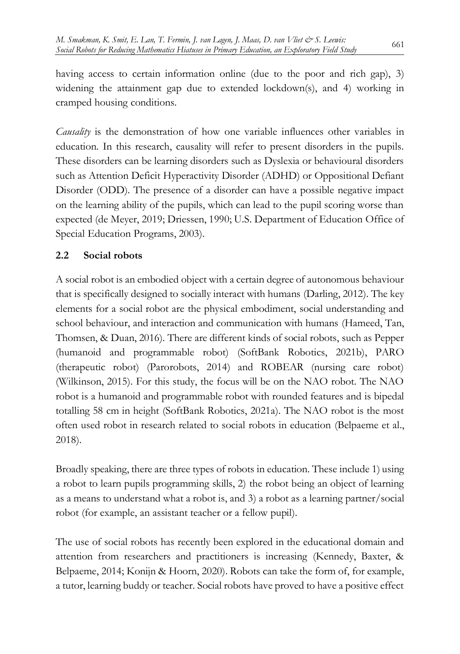having access to certain information online (due to the poor and rich gap), 3) widening the attainment gap due to extended lockdown(s), and 4) working in cramped housing conditions.

*Causality* is the demonstration of how one variable influences other variables in education. In this research, causality will refer to present disorders in the pupils. These disorders can be learning disorders such as Dyslexia or behavioural disorders such as Attention Deficit Hyperactivity Disorder (ADHD) or Oppositional Defiant Disorder (ODD). The presence of a disorder can have a possible negative impact on the learning ability of the pupils, which can lead to the pupil scoring worse than expected (de Meyer, 2019; Driessen, 1990; U.S. Department of Education Office of Special Education Programs, 2003).

## **2.2 Social robots**

A social robot is an embodied object with a certain degree of autonomous behaviour that is specifically designed to socially interact with humans (Darling, 2012). The key elements for a social robot are the physical embodiment, social understanding and school behaviour, and interaction and communication with humans (Hameed, Tan, Thomsen, & Duan, 2016). There are different kinds of social robots, such as Pepper (humanoid and programmable robot) (SoftBank Robotics, 2021b), PARO (therapeutic robot) (Parorobots, 2014) and ROBEAR (nursing care robot) (Wilkinson, 2015). For this study, the focus will be on the NAO robot. The NAO robot is a humanoid and programmable robot with rounded features and is bipedal totalling 58 cm in height (SoftBank Robotics, 2021a). The NAO robot is the most often used robot in research related to social robots in education (Belpaeme et al., 2018).

Broadly speaking, there are three types of robots in education. These include 1) using a robot to learn pupils programming skills, 2) the robot being an object of learning as a means to understand what a robot is, and 3) a robot as a learning partner/social robot (for example, an assistant teacher or a fellow pupil).

The use of social robots has recently been explored in the educational domain and attention from researchers and practitioners is increasing (Kennedy, Baxter, & Belpaeme, 2014; Konijn & Hoorn, 2020). Robots can take the form of, for example, a tutor, learning buddy or teacher. Social robots have proved to have a positive effect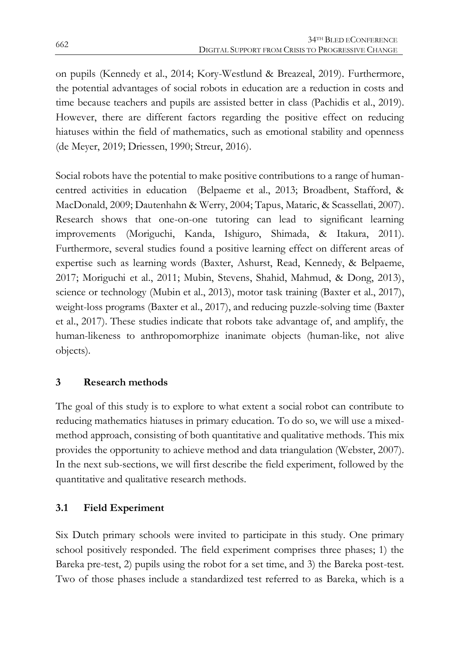on pupils (Kennedy et al., 2014; Kory-Westlund & Breazeal, 2019). Furthermore, the potential advantages of social robots in education are a reduction in costs and time because teachers and pupils are assisted better in class (Pachidis et al., 2019). However, there are different factors regarding the positive effect on reducing hiatuses within the field of mathematics, such as emotional stability and openness (de Meyer, 2019; Driessen, 1990; Streur, 2016).

Social robots have the potential to make positive contributions to a range of humancentred activities in education (Belpaeme et al., 2013; Broadbent, Stafford, & MacDonald, 2009; Dautenhahn & Werry, 2004; Tapus, Mataric, & Scassellati, 2007). Research shows that one-on-one tutoring can lead to significant learning improvements (Moriguchi, Kanda, Ishiguro, Shimada, & Itakura, 2011). Furthermore, several studies found a positive learning effect on different areas of expertise such as learning words (Baxter, Ashurst, Read, Kennedy, & Belpaeme, 2017; Moriguchi et al., 2011; Mubin, Stevens, Shahid, Mahmud, & Dong, 2013), science or technology (Mubin et al., 2013), motor task training (Baxter et al., 2017), weight-loss programs (Baxter et al., 2017), and reducing puzzle-solving time (Baxter et al., 2017). These studies indicate that robots take advantage of, and amplify, the human-likeness to anthropomorphize inanimate objects (human-like, not alive objects).

# **3 Research methods**

The goal of this study is to explore to what extent a social robot can contribute to reducing mathematics hiatuses in primary education. To do so, we will use a mixedmethod approach, consisting of both quantitative and qualitative methods. This mix provides the opportunity to achieve method and data triangulation (Webster, 2007). In the next sub-sections, we will first describe the field experiment, followed by the quantitative and qualitative research methods.

# **3.1 Field Experiment**

Six Dutch primary schools were invited to participate in this study. One primary school positively responded. The field experiment comprises three phases; 1) the Bareka pre-test, 2) pupils using the robot for a set time, and 3) the Bareka post-test. Two of those phases include a standardized test referred to as Bareka, which is a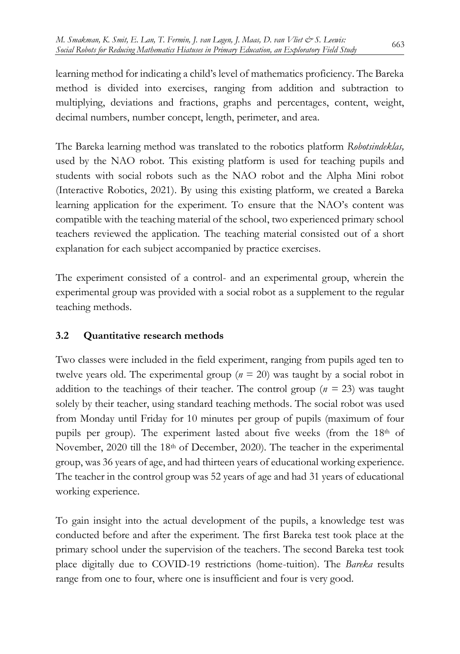learning method for indicating a child's level of mathematics proficiency. The Bareka method is divided into exercises, ranging from addition and subtraction to multiplying, deviations and fractions, graphs and percentages, content, weight, decimal numbers, number concept, length, perimeter, and area.

The Bareka learning method was translated to the robotics platform *Robotsindeklas,* used by the NAO robot. This existing platform is used for teaching pupils and students with social robots such as the NAO robot and the Alpha Mini robot (Interactive Robotics, 2021). By using this existing platform, we created a Bareka learning application for the experiment. To ensure that the NAO's content was compatible with the teaching material of the school, two experienced primary school teachers reviewed the application. The teaching material consisted out of a short explanation for each subject accompanied by practice exercises.

The experiment consisted of a control- and an experimental group, wherein the experimental group was provided with a social robot as a supplement to the regular teaching methods.

# **3.2 Quantitative research methods**

Two classes were included in the field experiment, ranging from pupils aged ten to twelve years old. The experimental group ( $n = 20$ ) was taught by a social robot in addition to the teachings of their teacher. The control group ( $n = 23$ ) was taught solely by their teacher, using standard teaching methods. The social robot was used from Monday until Friday for 10 minutes per group of pupils (maximum of four pupils per group). The experiment lasted about five weeks (from the 18<sup>th</sup> of November, 2020 till the 18<sup>th</sup> of December, 2020). The teacher in the experimental group, was 36 years of age, and had thirteen years of educational working experience. The teacher in the control group was 52 years of age and had 31 years of educational working experience.

To gain insight into the actual development of the pupils, a knowledge test was conducted before and after the experiment. The first Bareka test took place at the primary school under the supervision of the teachers. The second Bareka test took place digitally due to COVID-19 restrictions (home-tuition). The *Bareka* results range from one to four, where one is insufficient and four is very good.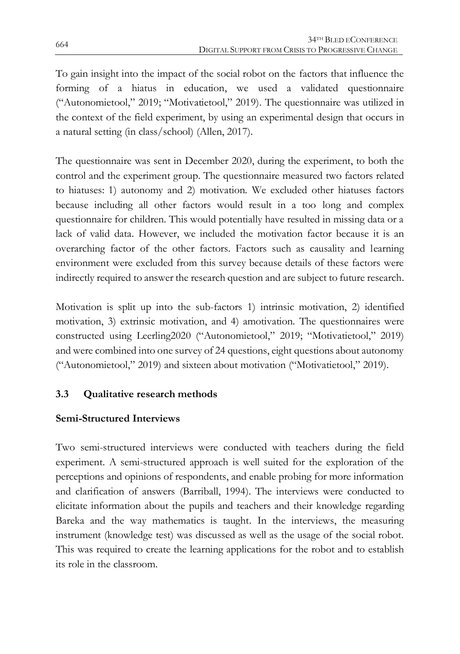To gain insight into the impact of the social robot on the factors that influence the forming of a hiatus in education, we used a validated questionnaire ("Autonomietool," 2019; "Motivatietool," 2019). The questionnaire was utilized in the context of the field experiment, by using an experimental design that occurs in a natural setting (in class/school) (Allen, 2017).

The questionnaire was sent in December 2020, during the experiment, to both the control and the experiment group. The questionnaire measured two factors related to hiatuses: 1) autonomy and 2) motivation*.* We excluded other hiatuses factors because including all other factors would result in a too long and complex questionnaire for children. This would potentially have resulted in missing data or a lack of valid data. However, we included the motivation factor because it is an overarching factor of the other factors. Factors such as causality and learning environment were excluded from this survey because details of these factors were indirectly required to answer the research question and are subject to future research.

Motivation is split up into the sub-factors 1) intrinsic motivation, 2) identified motivation, 3) extrinsic motivation, and 4) amotivation. The questionnaires were constructed using Leerling2020 ("Autonomietool," 2019; "Motivatietool," 2019) and were combined into one survey of 24 questions, eight questions about autonomy ("Autonomietool," 2019) and sixteen about motivation ("Motivatietool," 2019).

# **3.3 Qualitative research methods**

## **Semi-Structured Interviews**

Two semi-structured interviews were conducted with teachers during the field experiment. A semi-structured approach is well suited for the exploration of the perceptions and opinions of respondents, and enable probing for more information and clarification of answers (Barriball, 1994). The interviews were conducted to elicitate information about the pupils and teachers and their knowledge regarding Bareka and the way mathematics is taught. In the interviews, the measuring instrument (knowledge test) was discussed as well as the usage of the social robot. This was required to create the learning applications for the robot and to establish its role in the classroom.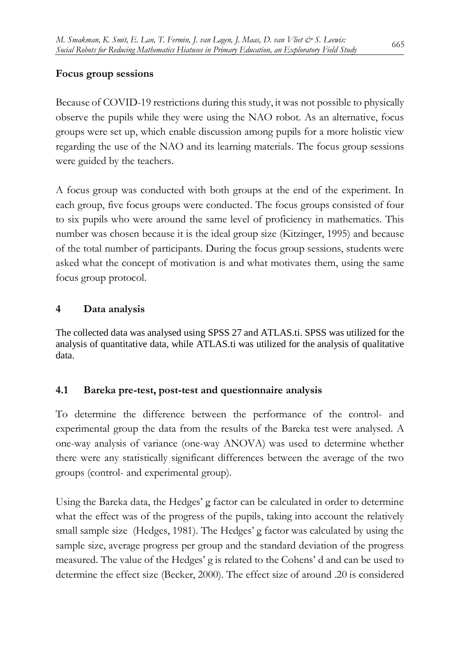#### **Focus group sessions**

Because of COVID-19 restrictions during this study, it was not possible to physically observe the pupils while they were using the NAO robot. As an alternative, focus groups were set up, which enable discussion among pupils for a more holistic view regarding the use of the NAO and its learning materials. The focus group sessions were guided by the teachers.

A focus group was conducted with both groups at the end of the experiment. In each group, five focus groups were conducted. The focus groups consisted of four to six pupils who were around the same level of proficiency in mathematics. This number was chosen because it is the ideal group size (Kitzinger, 1995) and because of the total number of participants. During the focus group sessions, students were asked what the concept of motivation is and what motivates them, using the same focus group protocol.

#### **4 Data analysis**

The collected data was analysed using SPSS 27 and ATLAS.ti. SPSS was utilized for the analysis of quantitative data, while ATLAS.ti was utilized for the analysis of qualitative data.

## **4.1 Bareka pre-test, post-test and questionnaire analysis**

To determine the difference between the performance of the control- and experimental group the data from the results of the Bareka test were analysed. A one-way analysis of variance (one-way ANOVA) was used to determine whether there were any statistically significant differences between the average of the two groups (control- and experimental group).

Using the Bareka data, the Hedges' g factor can be calculated in order to determine what the effect was of the progress of the pupils, taking into account the relatively small sample size (Hedges, 1981). The Hedges' g factor was calculated by using the sample size, average progress per group and the standard deviation of the progress measured. The value of the Hedges' g is related to the Cohens' d and can be used to determine the effect size (Becker, 2000). The effect size of around .20 is considered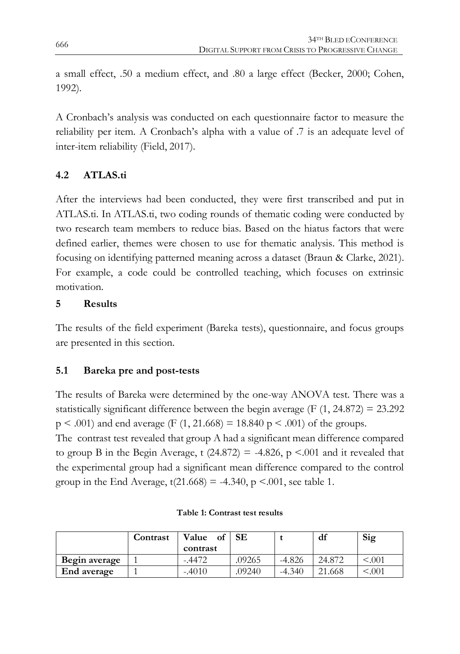a small effect, .50 a medium effect, and .80 a large effect (Becker, 2000; Cohen, 1992).

A Cronbach's analysis was conducted on each questionnaire factor to measure the reliability per item. A Cronbach's alpha with a value of .7 is an adequate level of inter-item reliability (Field, 2017).

# **4.2 ATLAS.ti**

After the interviews had been conducted, they were first transcribed and put in ATLAS.ti. In ATLAS.ti, two coding rounds of thematic coding were conducted by two research team members to reduce bias. Based on the hiatus factors that were defined earlier, themes were chosen to use for thematic analysis. This method is focusing on identifying patterned meaning across a dataset (Braun & Clarke, 2021). For example, a code could be controlled teaching, which focuses on extrinsic motivation.

## **5 Results**

The results of the field experiment (Bareka tests), questionnaire, and focus groups are presented in this section.

## **5.1 Bareka pre and post-tests**

The results of Bareka were determined by the one-way ANOVA test. There was a statistically significant difference between the begin average (F  $(1, 24.872) = 23.292$ )  $p < .001$ ) and end average (F (1, 21.668) = 18.840  $p < .001$ ) of the groups.

The contrast test revealed that group A had a significant mean difference compared to group B in the Begin Average, t  $(24.872) = -4.826$ , p <.001 and it revealed that the experimental group had a significant mean difference compared to the control group in the End Average,  $t(21.668) = -4.340$ , p <.001, see table 1.

|               | Contrast | Value<br>of | SЕ     |          | df     | Sig     |
|---------------|----------|-------------|--------|----------|--------|---------|
|               |          | contrast    |        |          |        |         |
| Begin average |          | $-4472$     | .09265 | $-4.826$ | 24.872 | < 0.001 |
| End average   |          | $-.4010$    | 09240  | $-4.340$ | 21.668 | < 0.01  |

#### **Table 1: Contrast test results**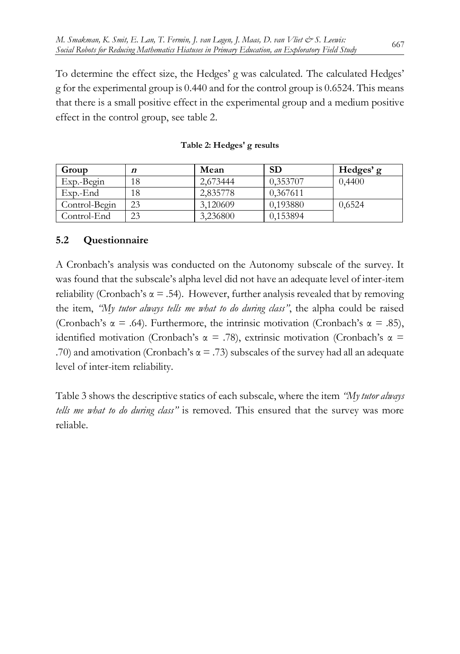To determine the effect size, the Hedges' g was calculated. The calculated Hedges' g for the experimental group is 0.440 and for the control group is 0.6524. This means that there is a small positive effect in the experimental group and a medium positive effect in the control group, see table 2.

| Group         | n  | Mean     | <b>SD</b> | Hedges' g |
|---------------|----|----------|-----------|-----------|
| Exp.-Begin    | 18 | 2.673444 | 0,353707  | 0,4400    |
| $Exp.-End$    |    | 2.835778 | 0.367611  |           |
| Control-Begin | 23 | 3.120609 | 0,193880  | 0,6524    |
| Control-End   | 23 | 3.236800 | 0.153894  |           |

#### **Table 2: Hedges' g results**

#### **5.2 Questionnaire**

A Cronbach's analysis was conducted on the Autonomy subscale of the survey. It was found that the subscale's alpha level did not have an adequate level of inter-item reliability (Cronbach's  $\alpha = .54$ ). However, further analysis revealed that by removing the item, *"My tutor always tells me what to do during class"*, the alpha could be raised (Cronbach's  $\alpha = .64$ ). Furthermore, the intrinsic motivation (Cronbach's  $\alpha = .85$ ), identified motivation (Cronbach's  $\alpha = .78$ ), extrinsic motivation (Cronbach's  $\alpha =$ .70) and amotivation (Cronbach's  $\alpha$  = .73) subscales of the survey had all an adequate level of inter-item reliability.

Table 3 shows the descriptive statics of each subscale, where the item *"My tutor always tells me what to do during class"* is removed. This ensured that the survey was more reliable.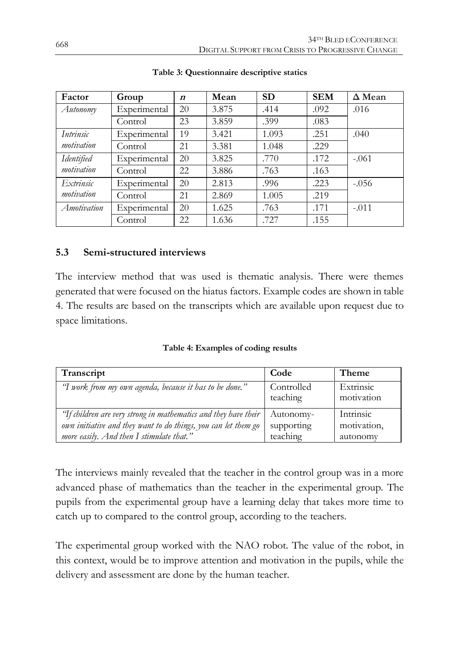| Factor                           | Group        | $\boldsymbol{n}$ | Mean  | <b>SD</b> | <b>SEM</b> | $\Delta$ Mean |
|----------------------------------|--------------|------------------|-------|-----------|------------|---------------|
| Autonomy                         | Experimental | 20               | 3.875 | .414      | .092       | .016          |
|                                  | Control      | 23               | 3.859 | .399      | .083       |               |
| Intrinsic                        | Experimental | 19               | 3.421 | 1.093     | .251       | .040          |
| motivation                       | Control      | 21               | 3.381 | 1.048     | .229       |               |
| <b>I</b> dentified<br>motivation | Experimental | 20               | 3.825 | .770      | .172       | $-.061$       |
|                                  | Control      | 22               | 3.886 | .763      | .163       |               |
| Extrinsic<br>motivation          | Experimental | 20               | 2.813 | .996      | .223       | $-.056$       |
|                                  | Control      | 21               | 2.869 | 1.005     | .219       |               |
| Amotivation                      | Experimental | 20               | 1.625 | .763      | .171       | $-.011$       |
|                                  | Control      | 22               | 1.636 | .727      | .155       |               |

#### **Table 3: Questionnaire descriptive statics**

#### **5.3 Semi-structured interviews**

The interview method that was used is thematic analysis. There were themes generated that were focused on the hiatus factors. Example codes are shown in table 4. The results are based on the transcripts which are available upon request due to space limitations.

**Table 4: Examples of coding results**

| Transcript                                                      | Code                   | <b>Theme</b>            |
|-----------------------------------------------------------------|------------------------|-------------------------|
| "I work from my own agenda, because it has to be done."         | Controlled<br>teaching | Extrinsic<br>motivation |
| 'If children are very strong in mathematics and they have their | Autonomy-              | Intrinsic               |
| own initiative and they want to do things, you can let them go  | supporting             | motivation,             |
| more easily. And then I stimulate that."                        | teaching               | autonomy                |

The interviews mainly revealed that the teacher in the control group was in a more advanced phase of mathematics than the teacher in the experimental group. The pupils from the experimental group have a learning delay that takes more time to catch up to compared to the control group, according to the teachers.

The experimental group worked with the NAO robot. The value of the robot, in this context, would be to improve attention and motivation in the pupils, while the delivery and assessment are done by the human teacher.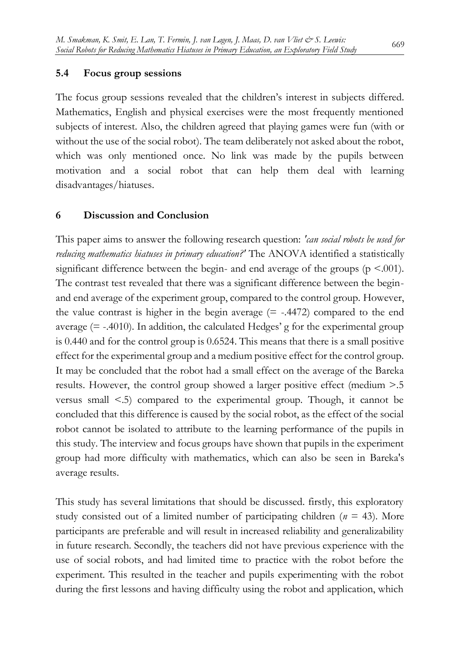#### **5.4 Focus group sessions**

The focus group sessions revealed that the children's interest in subjects differed. Mathematics, English and physical exercises were the most frequently mentioned subjects of interest. Also, the children agreed that playing games were fun (with or without the use of the social robot). The team deliberately not asked about the robot, which was only mentioned once. No link was made by the pupils between motivation and a social robot that can help them deal with learning disadvantages/hiatuses.

#### **6 Discussion and Conclusion**

This paper aims to answer the following research question: *'can social robots be used for reducing mathematics hiatuses in primary education?'* The ANOVA identified a statistically significant difference between the begin- and end average of the groups  $(p \le 0.001)$ . The contrast test revealed that there was a significant difference between the beginand end average of the experiment group, compared to the control group. However, the value contrast is higher in the begin average  $(= -0.4472)$  compared to the end average  $(= -0.4010)$ . In addition, the calculated Hedges' g for the experimental group is 0.440 and for the control group is 0.6524. This means that there is a small positive effect for the experimental group and a medium positive effect for the control group. It may be concluded that the robot had a small effect on the average of the Bareka results. However, the control group showed a larger positive effect (medium >.5 versus small <.5) compared to the experimental group. Though, it cannot be concluded that this difference is caused by the social robot, as the effect of the social robot cannot be isolated to attribute to the learning performance of the pupils in this study. The interview and focus groups have shown that pupils in the experiment group had more difficulty with mathematics, which can also be seen in Bareka's average results.

This study has several limitations that should be discussed. firstly, this exploratory study consisted out of a limited number of participating children (*n* = 43). More participants are preferable and will result in increased reliability and generalizability in future research. Secondly, the teachers did not have previous experience with the use of social robots, and had limited time to practice with the robot before the experiment. This resulted in the teacher and pupils experimenting with the robot during the first lessons and having difficulty using the robot and application, which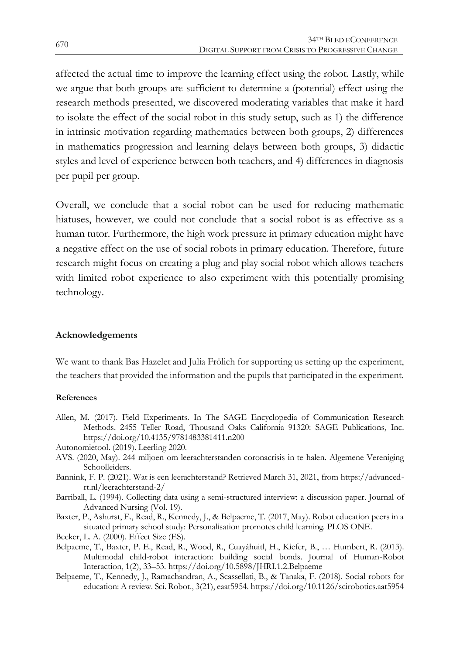affected the actual time to improve the learning effect using the robot. Lastly, while we argue that both groups are sufficient to determine a (potential) effect using the research methods presented, we discovered moderating variables that make it hard to isolate the effect of the social robot in this study setup, such as 1) the difference in intrinsic motivation regarding mathematics between both groups, 2) differences in mathematics progression and learning delays between both groups, 3) didactic styles and level of experience between both teachers, and 4) differences in diagnosis per pupil per group.

Overall, we conclude that a social robot can be used for reducing mathematic hiatuses, however, we could not conclude that a social robot is as effective as a human tutor. Furthermore, the high work pressure in primary education might have a negative effect on the use of social robots in primary education. Therefore, future research might focus on creating a plug and play social robot which allows teachers with limited robot experience to also experiment with this potentially promising technology.

#### **Acknowledgements**

We want to thank Bas Hazelet and Julia Frölich for supporting us setting up the experiment, the teachers that provided the information and the pupils that participated in the experiment.

#### **References**

- Allen, M. (2017). Field Experiments. In The SAGE Encyclopedia of Communication Research Methods. 2455 Teller Road, Thousand Oaks California 91320: SAGE Publications, Inc. https://doi.org/10.4135/9781483381411.n200
- Autonomietool. (2019). Leerling 2020.
- AVS. (2020, May). 244 miljoen om leerachterstanden coronacrisis in te halen. Algemene Vereniging Schoolleiders.
- Bannink, F. P. (2021). Wat is een leerachterstand? Retrieved March 31, 2021, from https://advancedrt.nl/leerachterstand-2/
- Barriball, L. (1994). Collecting data using a semi-structured interview: a discussion paper. Journal of Advanced Nursing (Vol. 19).
- Baxter, P., Ashurst, E., Read, R., Kennedy, J., & Belpaeme, T. (2017, May). Robot education peers in a situated primary school study: Personalisation promotes child learning. PLOS ONE.
- Becker, L. A. (2000). Effect Size (ES).
- Belpaeme, T., Baxter, P. E., Read, R., Wood, R., Cuayáhuitl, H., Kiefer, B., … Humbert, R. (2013). Multimodal child-robot interaction: building social bonds. Journal of Human-Robot Interaction, 1(2), 33–53. https://doi.org/10.5898/JHRI.1.2.Belpaeme
- Belpaeme, T., Kennedy, J., Ramachandran, A., Scassellati, B., & Tanaka, F. (2018). Social robots for education: A review. Sci. Robot., 3(21), eaat5954. https://doi.org/10.1126/scirobotics.aat5954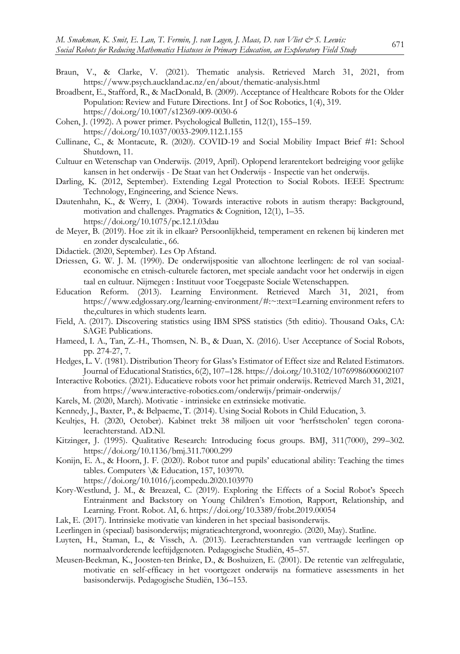- Braun, V., & Clarke, V. (2021). Thematic analysis. Retrieved March 31, 2021, from https://www.psych.auckland.ac.nz/en/about/thematic-analysis.html
- Broadbent, E., Stafford, R., & MacDonald, B. (2009). Acceptance of Healthcare Robots for the Older Population: Review and Future Directions. Int J of Soc Robotics, 1(4), 319. https://doi.org/10.1007/s12369-009-0030-6
- Cohen, J. (1992). A power primer. Psychological Bulletin, 112(1), 155–159. https://doi.org/10.1037/0033-2909.112.1.155
- Cullinane, C., & Montacute, R. (2020). COVID-19 and Social Mobility Impact Brief #1: School Shutdown, 11.
- Cultuur en Wetenschap van Onderwijs. (2019, April). Oplopend lerarentekort bedreiging voor gelijke kansen in het onderwijs - De Staat van het Onderwijs - Inspectie van het onderwijs.
- Darling, K. (2012, September). Extending Legal Protection to Social Robots. IEEE Spectrum: Technology, Engineering, and Science News.
- Dautenhahn, K., & Werry, I. (2004). Towards interactive robots in autism therapy: Background, motivation and challenges. Pragmatics & Cognition, 12(1), 1–35. https://doi.org/10.1075/pc.12.1.03dau
- de Meyer, B. (2019). Hoe zit ik in elkaar? Persoonlijkheid, temperament en rekenen bij kinderen met en zonder dyscalculatie., 66.
- Didactiek. (2020, September). Les Op Afstand.
- Driessen, G. W. J. M. (1990). De onderwijspositie van allochtone leerlingen: de rol van sociaaleconomische en etnisch-culturele factoren, met speciale aandacht voor het onderwijs in eigen taal en cultuur. Nijmegen : Instituut voor Toegepaste Sociale Wetenschappen.
- Education Reform. (2013). Learning Environment. Retrieved March 31, 2021, from https://www.edglossary.org/learning-environment/#:~:text=Learning environment refers to the,cultures in which students learn.
- Field, A. (2017). Discovering statistics using IBM SPSS statistics (5th editio). Thousand Oaks, CA: SAGE Publications.
- Hameed, I. A., Tan, Z.-H., Thomsen, N. B., & Duan, X. (2016). User Acceptance of Social Robots, pp. 274-27, 7.
- Hedges, L. V. (1981). Distribution Theory for Glass's Estimator of Effect size and Related Estimators. Journal of Educational Statistics, 6(2), 107–128. https://doi.org/10.3102/10769986006002107
- Interactive Robotics. (2021). Educatieve robots voor het primair onderwijs. Retrieved March 31, 2021, from https://www.interactive-robotics.com/onderwijs/primair-onderwijs/
- Karels, M. (2020, March). Motivatie intrinsieke en extrinsieke motivatie.
- Kennedy, J., Baxter, P., & Belpaeme, T. (2014). Using Social Robots in Child Education, 3.
- Keultjes, H. (2020, October). Kabinet trekt 38 miljoen uit voor 'herfstscholen' tegen coronaleerachterstand. AD.Nl.
- Kitzinger, J. (1995). Qualitative Research: Introducing focus groups. BMJ, 311(7000), 299–302. https://doi.org/10.1136/bmj.311.7000.299
- Konijn, E. A., & Hoorn, J. F. (2020). Robot tutor and pupils' educational ability: Teaching the times tables. Computers \& Education, 157, 103970. https://doi.org/10.1016/j.compedu.2020.103970
- Kory-Westlund, J. M., & Breazeal, C. (2019). Exploring the Effects of a Social Robot's Speech Entrainment and Backstory on Young Children's Emotion, Rapport, Relationship, and Learning. Front. Robot. AI, 6. https://doi.org/10.3389/frobt.2019.00054
- Lak, E. (2017). Intrinsieke motivatie van kinderen in het speciaal basisonderwijs.
- Leerlingen in (speciaal) basisonderwijs; migratieachtergrond, woonregio. (2020, May). Statline.
- Luyten, H., Staman, L., & Vissch, A. (2013). Leerachterstanden van vertraagde leerlingen op normaalvorderende leeftijdgenoten. Pedagogische Studiën, 45–57.
- Meusen-Beekman, K., Joosten-ten Brinke, D., & Boshuizen, E. (2001). De retentie van zelfregulatie, motivatie en self-efficacy in het voortgezet onderwijs na formatieve assessments in het basisonderwijs. Pedagogische Studiën, 136–153.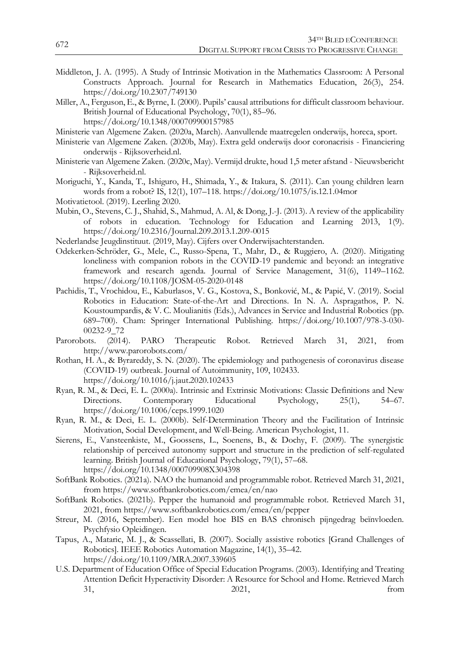- Middleton, J. A. (1995). A Study of Intrinsic Motivation in the Mathematics Classroom: A Personal Constructs Approach. Journal for Research in Mathematics Education, 26(3), 254. https://doi.org/10.2307/749130
- Miller, A., Ferguson, E., & Byrne, I. (2000). Pupils' causal attributions for difficult classroom behaviour. British Journal of Educational Psychology, 70(1), 85–96. https://doi.org/10.1348/000709900157985
- Ministerie van Algemene Zaken. (2020a, March). Aanvullende maatregelen onderwijs, horeca, sport.
- Ministerie van Algemene Zaken. (2020b, May). Extra geld onderwijs door coronacrisis Financiering onderwijs - Rijksoverheid.nl.
- Ministerie van Algemene Zaken. (2020c, May). Vermijd drukte, houd 1,5 meter afstand Nieuwsbericht - Rijksoverheid.nl.
- Moriguchi, Y., Kanda, T., Ishiguro, H., Shimada, Y., & Itakura, S. (2011). Can young children learn words from a robot? IS, 12(1), 107–118. https://doi.org/10.1075/is.12.1.04mor

- Mubin, O., Stevens, C. J., Shahid, S., Mahmud, A. Al, & Dong, J.-J. (2013). A review of the applicability of robots in education. Technology for Education and Learning 2013, 1(9). https://doi.org/10.2316/Journal.209.2013.1.209-0015
- Nederlandse Jeugdinstituut. (2019, May). Cijfers over Onderwijsachterstanden.
- Odekerken-Schröder, G., Mele, C., Russo-Spena, T., Mahr, D., & Ruggiero, A. (2020). Mitigating loneliness with companion robots in the COVID-19 pandemic and beyond: an integrative framework and research agenda. Journal of Service Management, 31(6), 1149–1162. https://doi.org/10.1108/JOSM-05-2020-0148
- Pachidis, T., Vrochidou, E., Kaburlasos, V. G., Kostova, S., Bonković, M., & Papić, V. (2019). Social Robotics in Education: State-of-the-Art and Directions. In N. A. Aspragathos, P. N. Koustoumpardis, & V. C. Moulianitis (Eds.), Advances in Service and Industrial Robotics (pp. 689–700). Cham: Springer International Publishing. https://doi.org/10.1007/978-3-030- 00232-9\_72<br>Parorobots. (2014).
- PARO Therapeutic Robot. Retrieved March 31, 2021, from http://www.parorobots.com/
- Rothan, H. A., & Byrareddy, S. N. (2020). The epidemiology and pathogenesis of coronavirus disease (COVID-19) outbreak. Journal of Autoimmunity, 109, 102433. https://doi.org/10.1016/j.jaut.2020.102433
- Ryan, R. M., & Deci, E. L. (2000a). Intrinsic and Extrinsic Motivations: Classic Definitions and New Directions. Contemporary Educational Psychology, 25(1), 54–67. https://doi.org/10.1006/ceps.1999.1020
- Ryan, R. M., & Deci, E. L. (2000b). Self-Determination Theory and the Facilitation of Intrinsic Motivation, Social Development, and Well-Being. American Psychologist, 11.
- Sierens, E., Vansteenkiste, M., Goossens, L., Soenens, B., & Dochy, F. (2009). The synergistic relationship of perceived autonomy support and structure in the prediction of self-regulated learning. British Journal of Educational Psychology, 79(1), 57–68. https://doi.org/10.1348/000709908X304398
- SoftBank Robotics. (2021a). NAO the humanoid and programmable robot. Retrieved March 31, 2021, from https://www.softbankrobotics.com/emea/en/nao
- SoftBank Robotics. (2021b). Pepper the humanoid and programmable robot. Retrieved March 31, 2021, from https://www.softbankrobotics.com/emea/en/pepper
- Streur, M. (2016, September). Een model hoe BIS en BAS chronisch pijngedrag beïnvloeden. Psychfysio Opleidingen.
- Tapus, A., Mataric, M. J., & Scassellati, B. (2007). Socially assistive robotics [Grand Challenges of Robotics]. IEEE Robotics Automation Magazine, 14(1), 35–42. https://doi.org/10.1109/MRA.2007.339605
- U.S. Department of Education Office of Special Education Programs. (2003). Identifying and Treating Attention Deficit Hyperactivity Disorder: A Resource for School and Home. Retrieved March 31, 2021, from

Motivatietool. (2019). Leerling 2020.